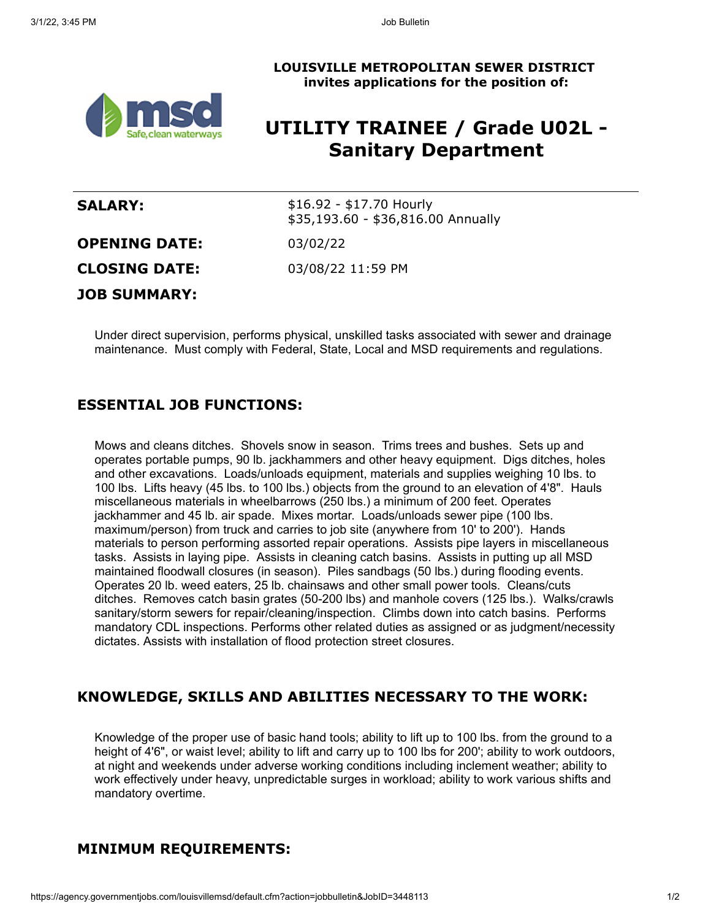

# **LOUISVILLE METROPOLITAN SEWER DISTRICT invites applications for the position of:**

# **UTILITY TRAINEE / Grade U02L - Sanitary Department**

| <b>SALARY:</b>       | \$16.92 - \$17.70 Hourly<br>\$35,193.60 - \$36,816.00 Annually |
|----------------------|----------------------------------------------------------------|
| <b>OPENING DATE:</b> | 03/02/22                                                       |
| <b>CLOSING DATE:</b> | 03/08/22 11:59 PM                                              |
| <b>JOB SUMMARY:</b>  |                                                                |

Under direct supervision, performs physical, unskilled tasks associated with sewer and drainage maintenance. Must comply with Federal, State, Local and MSD requirements and regulations.

## **ESSENTIAL JOB FUNCTIONS:**

Mows and cleans ditches. Shovels snow in season. Trims trees and bushes. Sets up and operates portable pumps, 90 lb. jackhammers and other heavy equipment. Digs ditches, holes and other excavations. Loads/unloads equipment, materials and supplies weighing 10 lbs. to 100 lbs. Lifts heavy (45 lbs. to 100 lbs.) objects from the ground to an elevation of 4'8". Hauls miscellaneous materials in wheelbarrows (250 lbs.) a minimum of 200 feet. Operates jackhammer and 45 lb. air spade. Mixes mortar. Loads/unloads sewer pipe (100 lbs. maximum/person) from truck and carries to job site (anywhere from 10' to 200'). Hands materials to person performing assorted repair operations. Assists pipe layers in miscellaneous tasks. Assists in laying pipe. Assists in cleaning catch basins. Assists in putting up all MSD maintained floodwall closures (in season). Piles sandbags (50 lbs.) during flooding events. Operates 20 lb. weed eaters, 25 lb. chainsaws and other small power tools. Cleans/cuts ditches. Removes catch basin grates (50-200 lbs) and manhole covers (125 lbs.). Walks/crawls sanitary/storm sewers for repair/cleaning/inspection. Climbs down into catch basins. Performs mandatory CDL inspections. Performs other related duties as assigned or as judgment/necessity dictates. Assists with installation of flood protection street closures.

### **KNOWLEDGE, SKILLS AND ABILITIES NECESSARY TO THE WORK:**

Knowledge of the proper use of basic hand tools; ability to lift up to 100 lbs. from the ground to a height of 4'6", or waist level; ability to lift and carry up to 100 lbs for 200'; ability to work outdoors, at night and weekends under adverse working conditions including inclement weather; ability to work effectively under heavy, unpredictable surges in workload; ability to work various shifts and mandatory overtime.

### **MINIMUM REQUIREMENTS:**